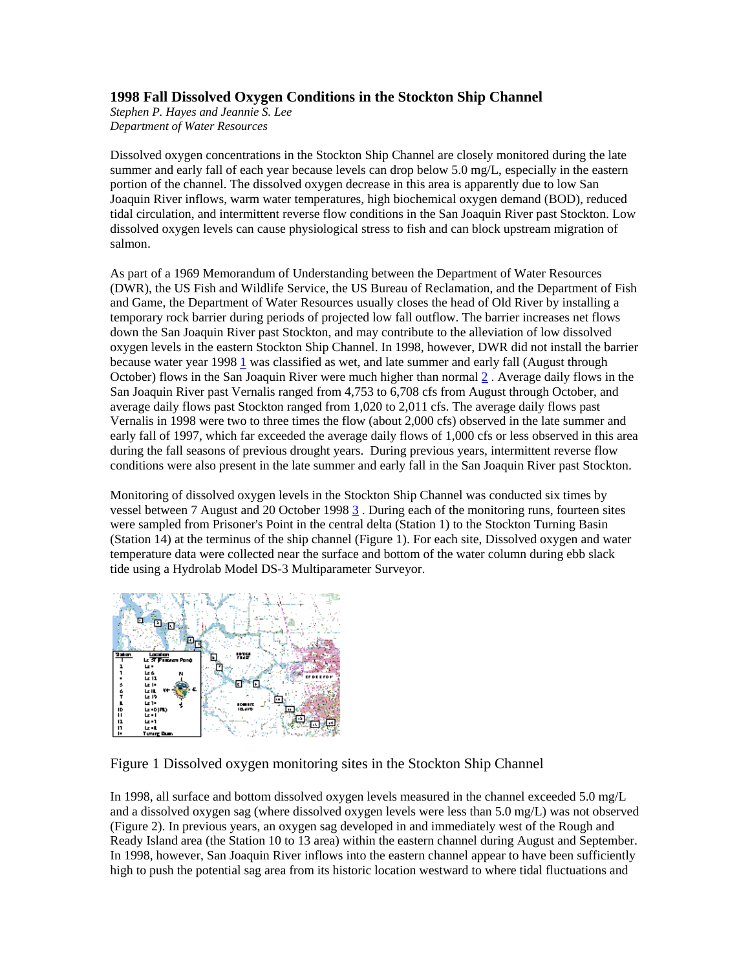## **1998 Fall Dissolved Oxygen Conditions in the Stockton Ship Channel**

*Stephen P. Hayes and Jeannie S. Lee Department of Water Resources* 

Dissolved oxygen concentrations in the Stockton Ship Channel are closely monitored during the late summer and early fall of each year because levels can drop below 5.0 mg/L, especially in the eastern portion of the channel. The dissolved oxygen decrease in this area is apparently due to low San Joaquin River inflows, warm water temperatures, high biochemical oxygen demand (BOD), reduced tidal circulation, and intermittent reverse flow conditions in the San Joaquin River past Stockton. Low dissolved oxygen levels can cause physiological stress to fish and can block upstream migration of salmon.

As part of a 1969 Memorandum of Understanding between the Department of Water Resources (DWR), the US Fish and Wildlife Service, the US Bureau of Reclamation, and the Department of Fish and Game, the Department of Water Resources usually closes the head of Old River by installing a temporary rock barrier during periods of projected low fall outflow. The barrier increases net flows down the San Joaquin River past Stockton, and may contribute to the alleviation of low dissolved oxygen levels in the eastern Stockton Ship Channel. In 1998, however, DWR did not install the barrier because water year 1998 1 was classified as wet, and late summer and early fall (August through October) flows in the San Joaquin River were much higher than normal  $2$ . Average daily flows in the San Joaquin River past Vernalis ranged from 4,753 to 6,708 cfs from August through October, and average daily flows past Stockton ranged from 1,020 to 2,011 cfs. The average daily flows past Vernalis in 1998 were two to three times the flow (about 2,000 cfs) observed in the late summer and early fall of 1997, which far exceeded the average daily flows of 1,000 cfs or less observed in this area during the fall seasons of previous drought years. During previous years, intermittent reverse flow conditions were also present in the late summer and early fall in the San Joaquin River past Stockton.

Monitoring of dissolved oxygen levels in the Stockton Ship Channel was conducted six times by vessel between 7 August and 20 October 1998 3 . During each of the monitoring runs, fourteen sites were sampled from Prisoner's Point in the central delta (Station 1) to the Stockton Turning Basin (Station 14) at the terminus of the ship channel (Figure 1). For each site, Dissolved oxygen and water temperature data were collected near the surface and bottom of the water column during ebb slack tide using a Hydrolab Model DS-3 Multiparameter Surveyor.



## Figure 1 Dissolved oxygen monitoring sites in the Stockton Ship Channel

In 1998, all surface and bottom dissolved oxygen levels measured in the channel exceeded 5.0 mg/L and a dissolved oxygen sag (where dissolved oxygen levels were less than 5.0 mg/L) was not observed (Figure 2). In previous years, an oxygen sag developed in and immediately west of the Rough and Ready Island area (the Station 10 to 13 area) within the eastern channel during August and September. In 1998, however, San Joaquin River inflows into the eastern channel appear to have been sufficiently high to push the potential sag area from its historic location westward to where tidal fluctuations and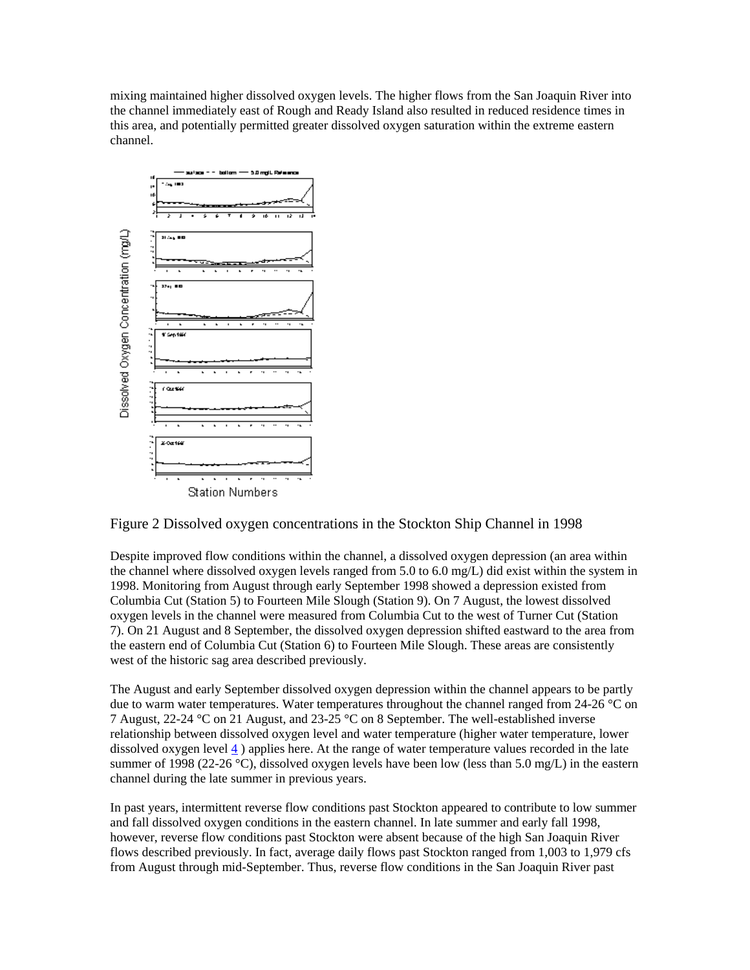mixing maintained higher dissolved oxygen levels. The higher flows from the San Joaquin River into the channel immediately east of Rough and Ready Island also resulted in reduced residence times in this area, and potentially permitted greater dissolved oxygen saturation within the extreme eastern channel.





Despite improved flow conditions within the channel, a dissolved oxygen depression (an area within the channel where dissolved oxygen levels ranged from 5.0 to 6.0 mg/L) did exist within the system in 1998. Monitoring from August through early September 1998 showed a depression existed from Columbia Cut (Station 5) to Fourteen Mile Slough (Station 9). On 7 August, the lowest dissolved oxygen levels in the channel were measured from Columbia Cut to the west of Turner Cut (Station 7). On 21 August and 8 September, the dissolved oxygen depression shifted eastward to the area from the eastern end of Columbia Cut (Station 6) to Fourteen Mile Slough. These areas are consistently west of the historic sag area described previously.

The August and early September dissolved oxygen depression within the channel appears to be partly due to warm water temperatures. Water temperatures throughout the channel ranged from 24-26  $^{\circ}$ C on 7 August, 22-24 °C on 21 August, and 23-25 °C on 8 September. The well-established inverse relationship between dissolved oxygen level and water temperature (higher water temperature, lower dissolved oxygen level 4 ) applies here. At the range of water temperature values recorded in the late summer of 1998 (22-26 °C), dissolved oxygen levels have been low (less than 5.0 mg/L) in the eastern channel during the late summer in previous years.

In past years, intermittent reverse flow conditions past Stockton appeared to contribute to low summer and fall dissolved oxygen conditions in the eastern channel. In late summer and early fall 1998, however, reverse flow conditions past Stockton were absent because of the high San Joaquin River flows described previously. In fact, average daily flows past Stockton ranged from 1,003 to 1,979 cfs from August through mid-September. Thus, reverse flow conditions in the San Joaquin River past